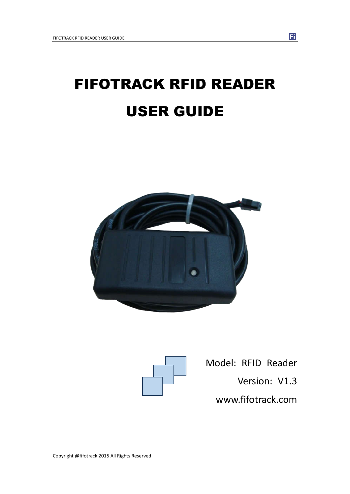# FIFOTRACK RFID READER USER GUIDE





Model: RFID Reader : RFID Reader<br>Version: V1.3 www.fifotrack.co www.fifotrack.com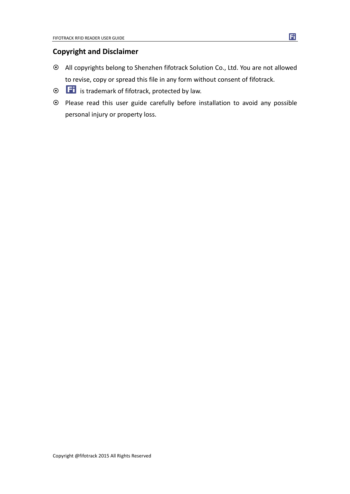### **Copyright and Disclaimer**

- All copyrights belong to Shenzhen fifotrack Solution Co., Ltd. You are not allowed to revise, copy or spread this file in any form without consent of fifotrack.
- $\odot$   $\Box$  is trademark of fifotrack, protected by law.
- Please read this user guide carefully before installation to avoid any possible personal injury or property loss.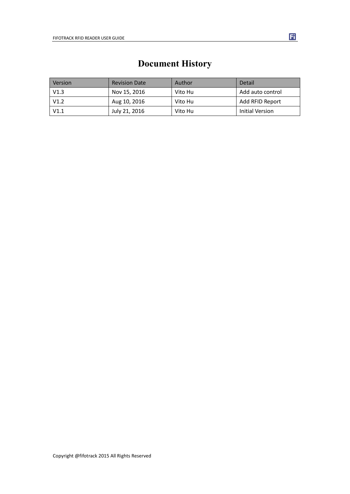<span id="page-2-0"></span>

| Version | <b>Revision Date</b> | Author  | Detail           |
|---------|----------------------|---------|------------------|
| V1.3    | Nov 15, 2016         | Vito Hu | Add auto control |
| V1.2    | Aug 10, 2016         | Vito Hu | Add RFID Report  |
| V1.1    | July 21, 2016        | Vito Hu | Initial Version  |

# **Document History**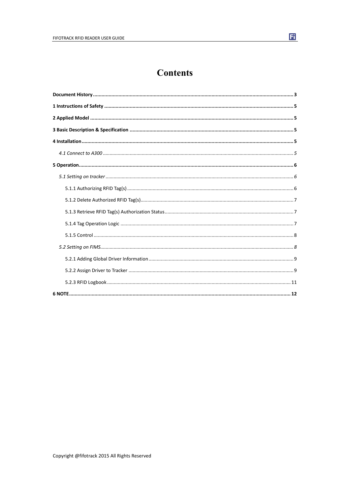### **Contents**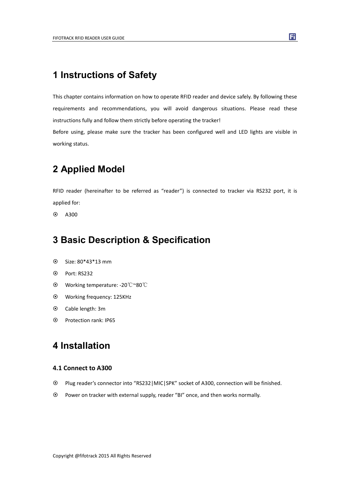### <span id="page-4-0"></span>**1 Instructions of Safety**

This chapter contains information on how to operate RFID reader and device safely. By following these requirements and recommendations, you will avoid dangerous situations. Please read these instructions fully and follow them strictly before operating the tracker!

Before using, please make sure the tracker has been configured well and LED lights are visible in working status.

### **2 Applied Model**

RFID reader (hereinafter to be referred as "reader") is connected to tracker via RS232 port, it is applied for:

 $\odot$  A300

### **3 Basic Description & Specification**

- Size: 80\*43\*13 mm
- Port: RS232
- Working temperature: -20℃~80℃
- Working frequency: 125KHz
- Cable length: 3m
- Protection rank: IP65

### **4 Installation**

#### **4.1 Connect to A300**

- Plug reader's connector into "RS232|MIC|SPK" socket of A300, connection will be finished.
- Power on tracker with external supply, reader "BI" once, and then works normally.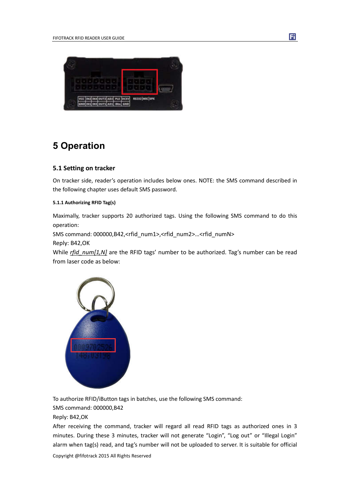<span id="page-5-0"></span>

### **5 Operation**

#### **5.1 Setting on tracker**

On tracker side, reader's operation includes below ones. NOTE: the SMS command described in the following chapter uses default SMS password.

#### **5.1.1 Authorizing RFID Tag(s)**

Maximally, tracker supports 20 authorized tags. Using the following SMS command to do this operation:

SMS command: 000000,B42,<rfid\_num1>,<rfid\_num2>...<rfid\_numN>

Reply: B42,OK

While *rfid\_num[1,N]* are the RFID tags' number to be authorized. Tag's number can be read from laser code as below:



To authorize RFID/iButton tags in batches, use the following SMS command:

SMS command: 000000,B42

Reply: B42,OK

After receiving the command, tracker will regard all read RFID tags as authorized ones in 3 minutes. During these 3 minutes, tracker will not generate "Login", "Log out" or "Illegal Login" alarm when tag(s) read, and tag's number will not be uploaded to server. It is suitable for official

Copyright @fifotrack 2015 All Rights Reserved

Fi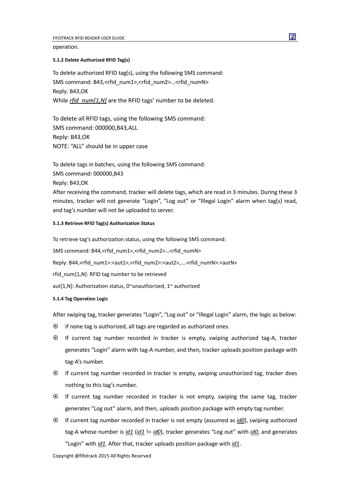<span id="page-6-0"></span>operation.

#### **5.1.2 Delete Authorized RFID Tag(s)**

To delete authorized RFID tag(s), using the following SMS command: SMS command: B43,<rfid\_num1>,<rfid\_num2>…<rfid\_numN> Reply: B43,OK While *rfid*  $num[1,N]$  are the RFID tags' number to be deleted.

To delete all RFID tags, using the following SMS command: SMS command: 000000,B43,ALL Reply: B43,OK NOTE: "ALL" should be in upper case

To delete tags in batches, using the following SMS command: SMS command: 000000,B43 Reply: B43,OK After receiving the command, tracker will delete tags, which are read in 3 minutes. During these 3 minutes, tracker will not generate "Login", "Log out" or "Illegal Login" alarm when tag(s) read, and tag's number will not be uploaded to server.

#### **5.1.3 Retrieve RFID Tag(s) Authorization Status**

To retrieve tag's authorization status, using the following SMS command:

SMS command: B44,<rfid\_num1>,<rfid\_num2>…<rfid\_numN>

Reply: B44,<rfid\_num1>:<aut1>,<rfid\_num2>:<aut2>,....<rfid\_numN>:<autN>

rfid\_num[1,N]: RFID tag number to be retrieved

aut[1,N]: Authorization status, 0~unauthorized, 1~ authorized

#### **5.1.4 Tag Operation Logic**

After swiping tag, tracker generates "Login", "Log out" or "Illegal Login" alarm, the logic as below:

- $\odot$  If none tag is authorized, all tags are regarded as authorized ones.
- If current tag number recorded in tracker is empty, swiping authorized tag-A, tracker generates "Login" alarm with tag-A number, and then, tracker uploads position package with tag-A's number.
- If current tag number recorded in tracker is empty, swiping unauthorized tag, tracker does nothing to this tag's number.
- If current tag number recorded in tracker is not empty, swiping the same tag, tracker generates "Log out" alarm, and then, uploads position package with empty tag number.
- If current tag number recorded in tracker is not empty (assumed as *id0*), swiping authorized tag-A whose number is *id1* (*id1* != *id0*), tracker generates "Log out" with *id0*, and generates "Login" with *id1*. After that, tracker uploads position package with *id1*.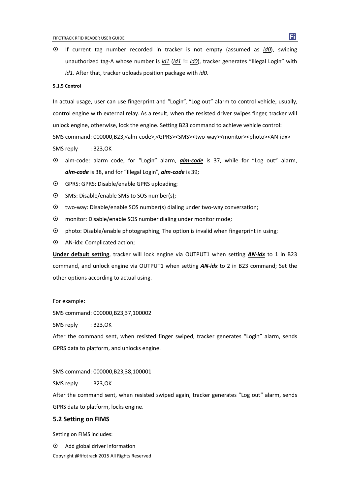<span id="page-7-0"></span> If current tag number recorded in tracker is not empty (assumed as *id0*), swiping unauthorized tag-A whose number is *id1* (*id1* != *id0*), tracker generates "Illegal Login" with *id1*. After that, tracker uploads position package with *id0*.

#### **5.1.5 Control**

In actual usage, user can use fingerprint and "Login", "Log out" alarm to control vehicle, usually, control engine with external relay. As a result, when the resisted driver swipes finger, tracker will unlock engine, otherwise, lock the engine. Setting B23 command to achieve vehicle control: SMS command: 000000,B23,<alm-code>,<GPRS><SMS><two-way><monitor><photo><AN-idx> SMS reply : B23,OK

- alm-code: alarm code, for "Login" alarm, *alm-code* is 37, while for "Log out" alarm, *alm-code* is 38, and for "Illegal Login", *alm-code* is 39;
- GPRS: GPRS: Disable/enable GPRS uploading;
- SMS: Disable/enable SMS to SOS number(s);
- two-way: Disable/enable SOS number(s) dialing under two-way conversation;
- monitor: Disable/enable SOS number dialing under monitor mode;
- photo: Disable/enable photographing; The option is invalid when fingerprint in using;
- AN-idx: Complicated action;

**Under default setting**, tracker will lock engine via OUTPUT1 when setting *AN-idx* to 1 in B23 command, and unlock engine via OUTPUT1 when setting *AN-idx* to 2 in B23 command; Set the other options according to actual using.

For example:

SMS command: 000000,B23,37,100002

SMS reply : B23,OK

After the command sent, when resisted finger swiped, tracker generates "Login" alarm, sends GPRS data to platform, and unlocks engine.

SMS command: 000000,B23,38,100001

SMS reply : B23,OK

After the command sent, when resisted swiped again, tracker generates "Log out" alarm, sends GPRS data to platform, locks engine.

#### **5.2 Setting on FIMS**

Setting on FIMS includes:

 $\odot$  Add global driver information

Copyright @fifotrack 2015 All Rights Reserved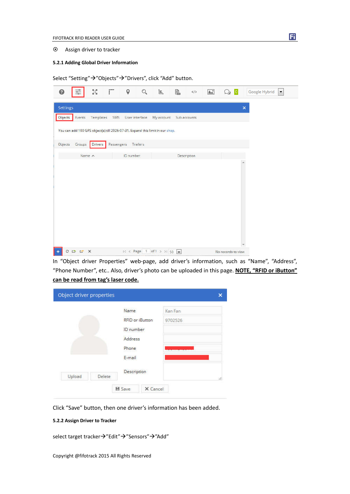#### <span id="page-8-0"></span>Assign driver to tracker

#### **5.2.1 Adding Global Driver Information**

Select "Setting" → "Objects" → "Drivers", click "Add" button.

|          | 흪              | 장         | Ē          | 9         | O.             | İE,                                                                           | e) | $<$ />       | $\mathbb{A}^*$ |                    | Google Hybrid<br>$\overline{0}$<br>$\blacktriangledown$ |
|----------|----------------|-----------|------------|-----------|----------------|-------------------------------------------------------------------------------|----|--------------|----------------|--------------------|---------------------------------------------------------|
| Settings |                |           |            |           |                |                                                                               |    |              |                |                    | $\pmb{\times}$                                          |
| Objects  | Events         | Templates | SMS        |           | User interface | My account                                                                    |    | Sub accounts |                |                    |                                                         |
|          |                |           |            |           |                | You can add 100 GPS object(s) till 2026-07-31. Expand this limit in our shop. |    |              |                |                    |                                                         |
| Objects  | Groups         | Drivers   | Passengers |           | Trailers       |                                                                               |    |              |                |                    |                                                         |
|          | Name $\wedge$  |           |            | ID number |                |                                                                               |    | Description  |                |                    |                                                         |
|          |                |           |            |           |                |                                                                               |    |              |                |                    |                                                         |
|          | $O1$ $C2$ $C3$ |           |            |           |                | $16 <$ Page 1 of 1 > >1 50 $\sqrt{2}$                                         |    |              |                | No records to view |                                                         |

In "Object driver Properties" web-page, add driver's information, such as "Name", "Address", "Phone Number", etc.. Also, driver's photo can be uploaded in this page. **NOTE, "RFID or iButton" can be read from tag's laser code.**

| Object driver properties |        |                  |                        |         |   |
|--------------------------|--------|------------------|------------------------|---------|---|
|                          |        | Name             |                        | Kan Fan |   |
|                          |        |                  | <b>RFID</b> or iButton | 9702526 |   |
|                          |        | <b>ID</b> number |                        |         |   |
|                          |        | Address          |                        |         |   |
|                          |        | Phone            |                        |         |   |
|                          |        | E-mail           |                        |         |   |
|                          |        | Description      |                        |         |   |
| Upload                   | Delete |                  |                        |         | ħ |
|                          |        | <b>■ Save</b>    | X Cancel               |         |   |

Click "Save" button, then one driver's information has been added.

#### **5.2.2 Assign Driver to Tracker**

select target tracker $\rightarrow$ "Edit" $\rightarrow$ "Sensors" $\rightarrow$ "Add"

Fi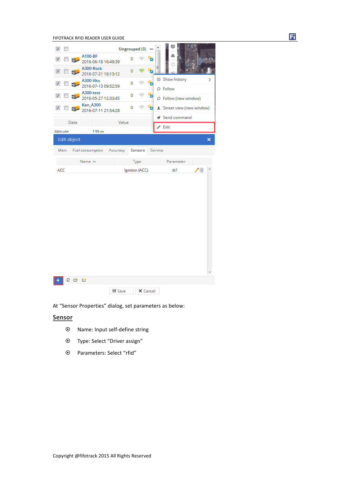FIFOTRACK RFID READER USER GUIDE



At "Sensor Properties" dialog, set parameters as below:

#### **Sensor**

- Name: Input self-define string
- Type: Select "Driver assign"
- Parameters: Select "rfid"

Fi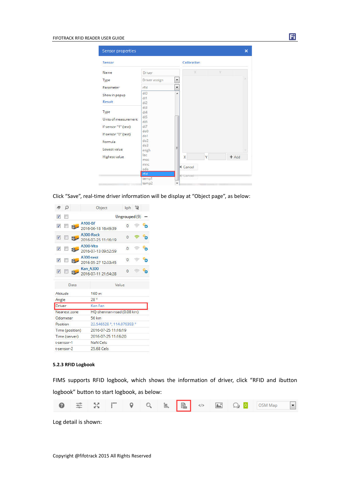<span id="page-10-0"></span>

| Sensor properties                            |                          |                          |                                            |   |   | $\boldsymbol{\times}$ |  |  |  |
|----------------------------------------------|--------------------------|--------------------------|--------------------------------------------|---|---|-----------------------|--|--|--|
| Sensor                                       |                          |                          | Calibration                                |   |   |                       |  |  |  |
| Name                                         | <b>Driver</b>            |                          | X                                          |   | Ÿ |                       |  |  |  |
| Type                                         | Driver assign            | $\overline{\phantom{a}}$ |                                            |   |   |                       |  |  |  |
| Parameter                                    | rfid                     | $\overline{\phantom{0}}$ |                                            |   |   |                       |  |  |  |
| Show in popup<br><b>Result</b>               | di0<br>di1<br>di2        | á.                       |                                            |   |   |                       |  |  |  |
| Type<br>Units of measurement                 | di3<br>di4<br>di5<br>di6 |                          |                                            |   |   |                       |  |  |  |
| If sensor "1" (text)<br>If sensor "0" (text) | di7<br>do0<br>$d$ o $1$  |                          |                                            |   |   |                       |  |  |  |
| Formula                                      | do2<br>Eob               |                          |                                            |   |   |                       |  |  |  |
| Lowest value                                 | engh                     | E                        |                                            |   |   |                       |  |  |  |
| Highest value                                | lac<br>mcc<br>mnc<br>odo |                          | $\overline{\mathsf{x}}$<br><b>X</b> Cancel | Ÿ |   | $+$ Add               |  |  |  |
|                                              | rfid                     |                          | <b>X</b> Cancel                            |   |   |                       |  |  |  |
|                                              | temp1<br>temp2           | ÷                        |                                            |   |   |                       |  |  |  |

Fi

Click "Save", real-time driver information will be display at "Object page", as below:

| Ω                                   | Object                                 | kph 22                    |  |  |  |  |  |  |  |  |
|-------------------------------------|----------------------------------------|---------------------------|--|--|--|--|--|--|--|--|
| Ø<br>問                              |                                        | Ungrouped (9)             |  |  |  |  |  |  |  |  |
| $\overline{v}$                      | A100-BF<br>2016-06-18 16:49:39         | $\Omega$                  |  |  |  |  |  |  |  |  |
| $\overline{\mathbf{v}}$<br><b>F</b> | A300-Rock<br>2016-07-25 11:16:19       | $\Omega$                  |  |  |  |  |  |  |  |  |
| V                                   | A300-Vito<br>2016-07-13 09:52:59       | $\overline{0}$            |  |  |  |  |  |  |  |  |
| $\overline{v}$                      | A300-test<br>2016-05-27 12:33:45       | $\circ$                   |  |  |  |  |  |  |  |  |
| $\sqrt{2}$<br>Sb.                   | <b>Kan A300</b><br>2016-07-11 21:54:28 | $\Omega$                  |  |  |  |  |  |  |  |  |
| Data                                | Value                                  |                           |  |  |  |  |  |  |  |  |
| Altitude                            | 160 <sub>m</sub>                       |                           |  |  |  |  |  |  |  |  |
| Angle                               | 28°                                    |                           |  |  |  |  |  |  |  |  |
| Driver                              | Kan Fan                                |                           |  |  |  |  |  |  |  |  |
| Nearest zone                        |                                        | HQ-shennan-road (0.08 km) |  |  |  |  |  |  |  |  |
| Odometer                            | 56 km                                  |                           |  |  |  |  |  |  |  |  |
| Position                            |                                        | 22.546528 ° 114.079393 °  |  |  |  |  |  |  |  |  |
| Time (position)                     |                                        | 2016-07-25 11:16:19       |  |  |  |  |  |  |  |  |
| Time (server)                       |                                        | 2016-07-25 11:16:20       |  |  |  |  |  |  |  |  |
| t-sensor-1                          | NaN Cels                               |                           |  |  |  |  |  |  |  |  |
| t-sensor-2                          | $25.68$ Cels                           |                           |  |  |  |  |  |  |  |  |

#### **5.2.3 RFID Logbook**

FIMS supports RFID logbook, which shows the information of driver, click "RFID and ibutton logbook" button to start logbook, as below:



Log detail is shown: